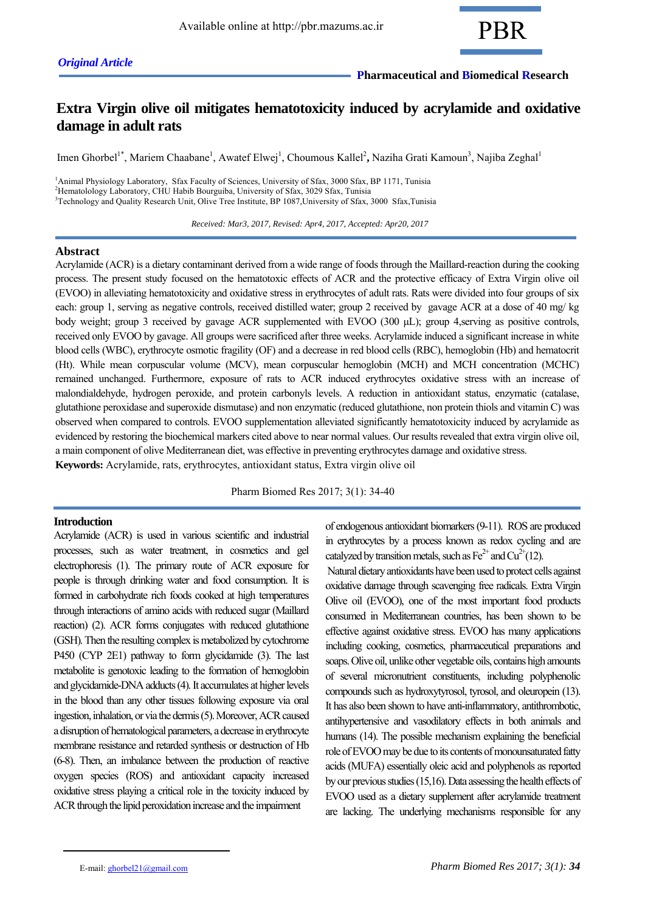

### **Pharmaceutical and Biomedical Research**

# **Extra Virgin olive oil mitigates hematotoxicity induced by acrylamide and oxidative damage in adult rats**

Imen Ghorbel<sup>1\*</sup>, Mariem Chaabane<sup>1</sup>, Awatef Elwej<sup>1</sup>, Choumous Kallel<sup>2</sup>, Naziha Grati Kamoun<sup>3</sup>, Najiba Zeghal<sup>1</sup>

<sup>1</sup>Animal Physiology Laboratory, Sfax Faculty of Sciences, University of Sfax, 3000 Sfax, BP 1171, Tunisia<br><sup>2</sup>Hematolology Laboratory, CHU Habib Bourguiba, University of Sfax, 3029 Sfax, Tunisia<br><sup>3</sup>Technology and Quality R

 *Received: Mar3, 2017, Revised: Apr4, 2017, Accepted: Apr20, 2017* 

#### **Abstract**

Acrylamide (ACR) is a dietary contaminant derived from a wide range of foods through the Maillard-reaction during the cooking process. The present study focused on the hematotoxic effects of ACR and the protective efficacy of Extra Virgin olive oil (EVOO) in alleviating hematotoxicity and oxidative stress in erythrocytes of adult rats. Rats were divided into four groups of six each: group 1, serving as negative controls, received distilled water; group 2 received by gavage ACR at a dose of 40 mg/ kg body weight; group 3 received by gavage ACR supplemented with EVOO (300 μL); group 4,serving as positive controls, received only EVOO by gavage. All groups were sacrificed after three weeks. Acrylamide induced a significant increase in white blood cells (WBC), erythrocyte osmotic fragility (OF) and a decrease in red blood cells (RBC), hemoglobin (Hb) and hematocrit (Ht). While mean corpuscular volume (MCV), mean corpuscular hemoglobin (MCH) and MCH concentration (MCHC) remained unchanged. Furthermore, exposure of rats to ACR induced erythrocytes oxidative stress with an increase of malondialdehyde, hydrogen peroxide, and protein carbonyls levels. A reduction in antioxidant status, enzymatic (catalase, glutathione peroxidase and superoxide dismutase) and non enzymatic (reduced glutathione, non protein thiols and vitamin C) was observed when compared to controls. EVOO supplementation alleviated significantly hematotoxicity induced by acrylamide as evidenced by restoring the biochemical markers cited above to near normal values. Our results revealed that extra virgin olive oil, a main component of olive Mediterranean diet, was effective in preventing erythrocytes damage and oxidative stress. **Keywords:** Acrylamide, rats, erythrocytes, antioxidant status, Extra virgin olive oil

Pharm Biomed Res 2017; 3(1): 34-40

#### **Introduction**

Acrylamide (ACR) is used in various scientific and industrial processes, such as water treatment, in cosmetics and gel electrophoresis (1). The primary route of ACR exposure for people is through drinking water and food consumption. It is formed in carbohydrate rich foods cooked at high temperatures through interactions of amino acids with reduced sugar (Maillard reaction) (2). ACR forms conjugates with reduced glutathione (GSH). Then the resulting complex is metabolized by cytochrome P450 (CYP 2E1) pathway to form glycidamide (3). The last metabolite is genotoxic leading to the formation of hemoglobin and glycidamide-DNA adducts (4). It accumulates at higher levels in the blood than any other tissues following exposure via oral ingestion, inhalation, or via the dermis (5). Moreover, ACR caused a disruption of hematological parameters, a decrease in erythrocyte membrane resistance and retarded synthesis or destruction of Hb (6-8). Then, an imbalance between the production of reactive oxygen species (ROS) and antioxidant capacity increased oxidative stress playing a critical role in the toxicity induced by ACR through the lipid peroxidation increase and the impairment

of endogenous antioxidant biomarkers (9-11). ROS are produced in erythrocytes by a process known as redox cycling and are catalyzed by transition metals, such as  $Fe^{2+}$  and  $Cu^{2+}(12)$ .

 Natural dietary antioxidants have been used to protect cells against oxidative damage through scavenging free radicals. Extra Virgin Olive oil (EVOO), one of the most important food products consumed in Mediterranean countries, has been shown to be effective against oxidative stress. EVOO has many applications including cooking, cosmetics, pharmaceutical preparations and soaps. Olive oil, unlike other vegetable oils, contains high amounts of several micronutrient constituents, including polyphenolic compounds such as hydroxytyrosol, tyrosol, and oleuropein (13). It has also been shown to have anti-inflammatory, antithrombotic, antihypertensive and vasodilatory effects in both animals and humans (14). The possible mechanism explaining the beneficial role of EVOO may be due to its contents of monounsaturated fatty acids (MUFA) essentially oleic acid and polyphenols as reported by our previous studies (15,16). Data assessing the health effects of EVOO used as a dietary supplement after acrylamide treatment are lacking. The underlying mechanisms responsible for any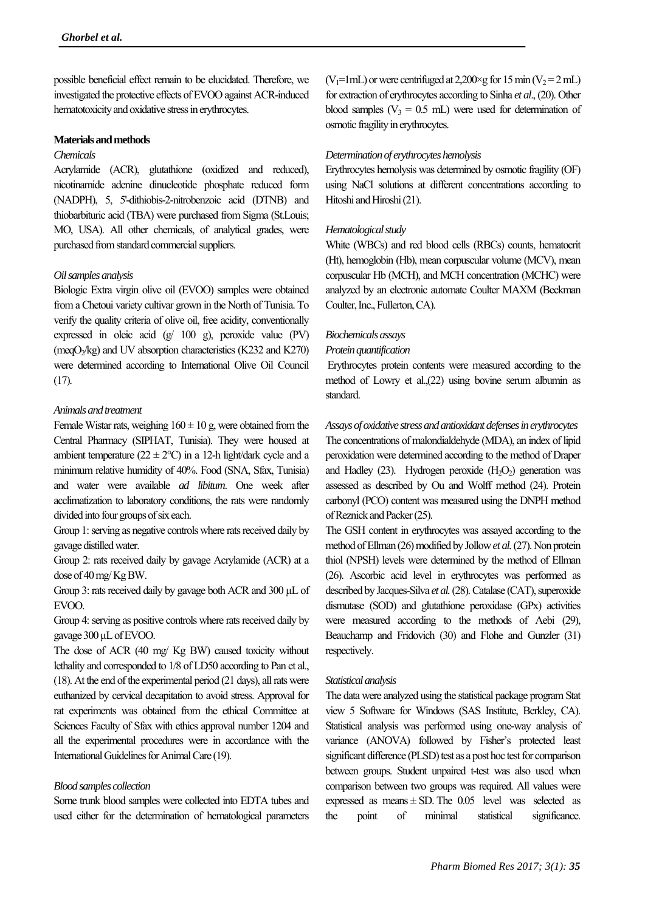possible beneficial effect remain to be elucidated. Therefore, we investigated the protective effects of EVOO against ACR-induced hematotoxicity and oxidative stress in erythrocytes.

#### **Materials and methods**

## *Chemicals*

Acrylamide (ACR), glutathione (oxidized and reduced), nicotinamide adenine dinucleotide phosphate reduced form (NADPH), 5, 5'-dithiobis-2-nitrobenzoic acid (DTNB) and thiobarbituric acid (TBA) were purchased from Sigma (St.Louis; MO, USA). All other chemicals, of analytical grades, were purchased from standard commercial suppliers.

### *Oil samples analysis*

Biologic Extra virgin olive oil (EVOO) samples were obtained from a Chetoui variety cultivar grown in the North of Tunisia. To verify the quality criteria of olive oil, free acidity, conventionally expressed in oleic acid (g/ 100 g), peroxide value (PV)  $(meqO<sub>2</sub>/kg)$  and UV absorption characteristics  $(K232 \text{ and } K270)$ were determined according to International Olive Oil Council (17).

### *Animals and treatment*

Female Wistar rats, weighing  $160 \pm 10$  g, were obtained from the Central Pharmacy (SIPHAT, Tunisia). They were housed at ambient temperature  $(22 \pm 2^{\circ}\text{C})$  in a 12-h light/dark cycle and a minimum relative humidity of 40%. Food (SNA, Sfax, Tunisia) and water were available *ad libitum*. One week after acclimatization to laboratory conditions, the rats were randomly divided into four groups of six each.

Group 1: serving as negative controls where rats received daily by gavage distilled water.

Group 2: rats received daily by gavage Acrylamide (ACR) at a dose of 40 mg/ Kg BW.

Group 3: rats received daily by gavage both ACR and 300  $\mu$ L of EVOO.

Group 4: serving as positive controls where rats received daily by gavage 300 µL of EVOO.

The dose of ACR (40 mg/ Kg BW) caused toxicity without lethality and corresponded to 1/8 of LD50 according to Pan et al., (18). At the end of the experimental period (21 days), all rats were euthanized by cervical decapitation to avoid stress. Approval for rat experiments was obtained from the ethical Committee at Sciences Faculty of Sfax with ethics approval number 1204 and all the experimental procedures were in accordance with the International Guidelines for Animal Care (19).

## *Blood samples collection*

Some trunk blood samples were collected into EDTA tubes and used either for the determination of hematological parameters  $(V_1=1mL)$  or were centrifuged at  $2.200 \times g$  for 15 min  $(V_2 = 2 mL)$ for extraction of erythrocytes according to Sinha *et al*., (20). Other blood samples ( $V_3 = 0.5$  mL) were used for determination of osmotic fragility in erythrocytes.

## *Determination of erythrocytes hemolysis*

Erythrocytes hemolysis was determined by osmotic fragility (OF) using NaCl solutions at different concentrations according to Hitoshi and Hiroshi (21).

## *Hematological study*

White (WBCs) and red blood cells (RBCs) counts, hematocrit (Ht), hemoglobin (Hb), mean corpuscular volume (MCV), mean corpuscular Hb (MCH), and MCH concentration (MCHC) were analyzed by an electronic automate Coulter MAXM (Beckman Coulter, Inc., Fullerton, CA).

#### *Biochemicals assays*

### *Protein quantification*

 Erythrocytes protein contents were measured according to the method of Lowry et al.,(22) using bovine serum albumin as standard.

*Assays of oxidative stress and antioxidant defenses in erythrocytes*  The concentrations of malondialdehyde (MDA), an index of lipid peroxidation were determined according to the method of Draper and Hadley  $(23)$ . Hydrogen peroxide  $(H<sub>2</sub>O<sub>2</sub>)$  generation was assessed as described by Ou and Wolff method (24). Protein carbonyl (PCO) content was measured using the DNPH method of Reznick and Packer (25).

The GSH content in erythrocytes was assayed according to the method of Ellman (26) modified by Jollow *et al.* (27). Non protein thiol (NPSH) levels were determined by the method of Ellman (26). Ascorbic acid level in erythrocytes was performed as described by Jacques-Silva *et al.* (28). Catalase (CAT), superoxide dismutase (SOD) and glutathione peroxidase (GPx) activities were measured according to the methods of Aebi (29), Beauchamp and Fridovich (30) and Flohe and Gunzler (31) respectively.

#### *Statistical analysis*

The data were analyzed using the statistical package program Stat view 5 Software for Windows (SAS Institute, Berkley, CA). Statistical analysis was performed using one-way analysis of variance (ANOVA) followed by Fisher's protected least significant difference (PLSD) test as a post hoc test for comparison between groups. Student unpaired t-test was also used when comparison between two groups was required. All values were expressed as means  $\pm$  SD. The 0.05 level was selected as the point of minimal statistical significance.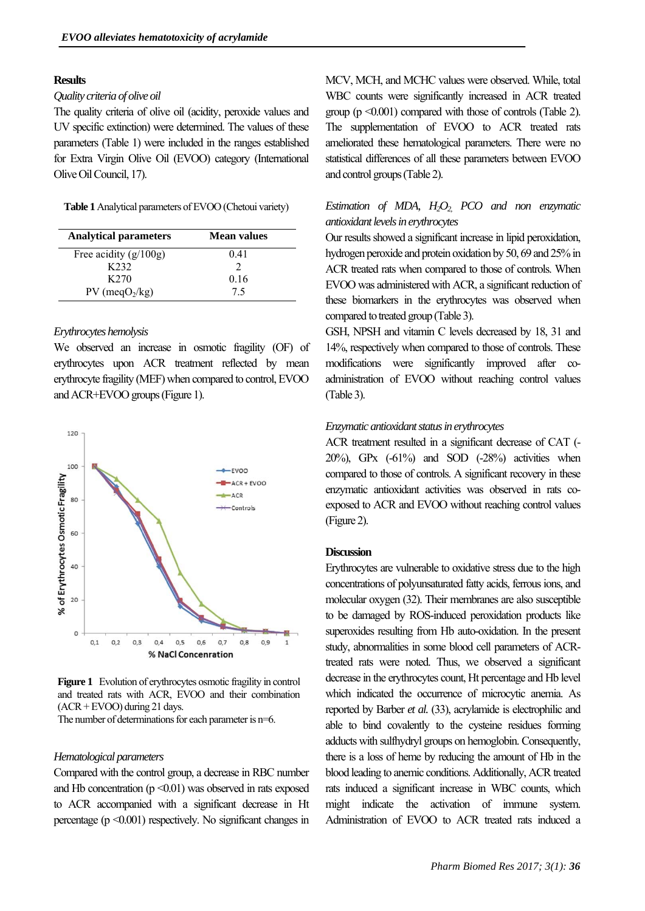### **Results**

## *Quality criteria of olive oil*

The quality criteria of olive oil (acidity, peroxide values and UV specific extinction) were determined. The values of these parameters (Table 1) were included in the ranges established for Extra Virgin Olive Oil (EVOO) category (International Olive Oil Council, 17).

**Table 1** Analytical parameters of EVOO (Chetoui variety)

| <b>Analytical parameters</b> | Mean values |
|------------------------------|-------------|
| Free acidity $(g/100g)$      | 0.41        |
| K232                         |             |
| K <sub>270</sub>             | 0.16        |
| $PV$ (meg $O_2/kg$ )         | 75          |

#### *Erythrocytes hemolysis*

We observed an increase in osmotic fragility (OF) of erythrocytes upon ACR treatment reflected by mean erythrocyte fragility (MEF) when compared to control, EVOO and ACR+EVOO groups (Figure 1).



**Figure 1** Evolution of erythrocytes osmotic fragility in control and treated rats with ACR, EVOO and their combination  $(ACR + EVOO)$  during 21 days.

The number of determinations for each parameter is  $n=6$ .

#### *Hematological parameters*

Compared with the control group, a decrease in RBC number and Hb concentration  $(p \le 0.01)$  was observed in rats exposed to ACR accompanied with a significant decrease in Ht percentage ( $p \leq 0.001$ ) respectively. No significant changes in

MCV, MCH, and MCHC values were observed. While, total WBC counts were significantly increased in ACR treated group ( $p \leq 0.001$ ) compared with those of controls (Table 2). The supplementation of EVOO to ACR treated rats ameliorated these hematological parameters. There were no statistical differences of all these parameters between EVOO and control groups (Table 2).

## *Estimation of MDA, H2O2, PCO and non enzymatic antioxidant levels in erythrocytes*

Our results showed a significant increase in lipid peroxidation, hydrogen peroxide and protein oxidation by 50, 69 and 25% in ACR treated rats when compared to those of controls. When EVOO was administered with ACR, a significant reduction of these biomarkers in the erythrocytes was observed when compared to treated group (Table 3).

GSH, NPSH and vitamin C levels decreased by 18, 31 and 14%, respectively when compared to those of controls. These modifications were significantly improved after coadministration of EVOO without reaching control values (Table 3).

#### *Enzymatic antioxidant status in erythrocytes*

ACR treatment resulted in a significant decrease of CAT (-  $20\%$ ), GPx  $(-61\%)$  and SOD  $(-28\%)$  activities when compared to those of controls. A significant recovery in these enzymatic antioxidant activities was observed in rats coexposed to ACR and EVOO without reaching control values (Figure 2).

#### **Discussion**

Erythrocytes are vulnerable to oxidative stress due to the high concentrations of polyunsaturated fatty acids, ferrous ions, and molecular oxygen (32). Their membranes are also susceptible to be damaged by ROS-induced peroxidation products like superoxides resulting from Hb auto-oxidation. In the present study, abnormalities in some blood cell parameters of ACRtreated rats were noted. Thus, we observed a significant decrease in the erythrocytes count, Ht percentage and Hb level which indicated the occurrence of microcytic anemia. As reported by Barber *et al.* (33), acrylamide is electrophilic and able to bind covalently to the cysteine residues forming adducts with sulfhydryl groups on hemoglobin. Consequently, there is a loss of heme by reducing the amount of Hb in the blood leading to anemic conditions. Additionally, ACR treated rats induced a significant increase in WBC counts, which might indicate the activation of immune system. Administration of EVOO to ACR treated rats induced a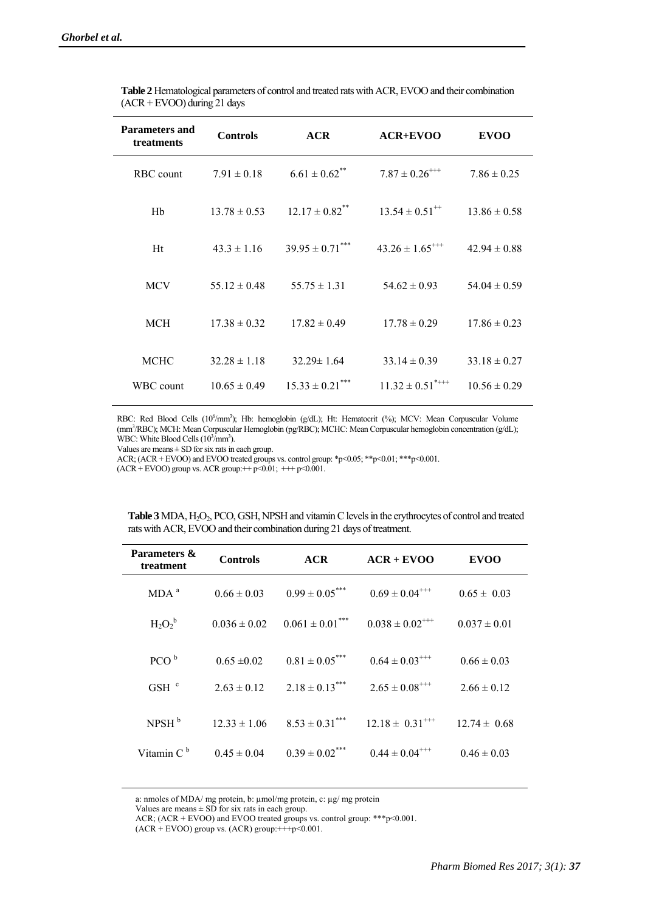| <b>Parameters and</b><br>treatments | <b>Controls</b>  | <b>ACR</b>                     | $ACR+EVOO$                        | <b>EVOO</b>      |
|-------------------------------------|------------------|--------------------------------|-----------------------------------|------------------|
| RBC count                           | $7.91 \pm 0.18$  | $6.61 \pm 0.62$ <sup>**</sup>  | $7.87 \pm 0.26^{+++}$             | $7.86 \pm 0.25$  |
| Hb                                  | $13.78 \pm 0.53$ | $12.17 \pm 0.82$ <sup>**</sup> | $13.54 \pm 0.51^{++}$             | $13.86 \pm 0.58$ |
| Ht                                  | $43.3 \pm 1.16$  | $39.95 \pm 0.71$ ***           | $43.26 \pm 1.65^{++}$             | $42.94 \pm 0.88$ |
| <b>MCV</b>                          | $55.12 \pm 0.48$ | $55.75 \pm 1.31$               | $54.62 \pm 0.93$                  | $54.04 \pm 0.59$ |
| <b>MCH</b>                          | $17.38 \pm 0.32$ | $17.82 \pm 0.49$               | $17.78 \pm 0.29$                  | $17.86 \pm 0.23$ |
| <b>MCHC</b>                         | $32.28 \pm 1.18$ | $32.29 \pm 1.64$               | $33.14 \pm 0.39$                  | $33.18 \pm 0.27$ |
| WBC count                           | $10.65 \pm 0.49$ | $15.33 \pm 0.21$ ***           | $11.32 \pm 0.51$ <sup>*****</sup> | $10.56 \pm 0.29$ |

**Table 2** Hematological parameters of control and treated rats with ACR, EVOO and their combination (ACR + EVOO) during 21 days

RBC: Red Blood Cells (10<sup>6</sup>/mm<sup>3</sup>); Hb: hemoglobin (g/dL); Ht: Hematocrit (%); MCV: Mean Corpuscular Volume (mm<sup>3</sup>/RBC); MCH: Mean Corpuscular Hemoglobin (pg/RBC); MCHC: Mean Corpuscular hemoglobin concentration (g/dL); WBC: White Blood Cells  $(10^3/\text{mm}^3)$ .

Values are means  $\pm$  SD for six rats in each group.

ACR; (ACR + EVOO) and EVOO treated groups vs. control group: \*p<0.05; \*\*p<0.01; \*\*\*p<0.001.

 $(ACR + EVOO)$  group vs.  $ACR$  group: $++ p<0.01;$   $++ p<0.001.$ 

| Parameters &<br>treatment | <b>Controls</b>  | ACR                             | $ACR + EVOO$           | <b>EVOO</b>      |
|---------------------------|------------------|---------------------------------|------------------------|------------------|
| MDA <sup>a</sup>          | $0.66 \pm 0.03$  | $0.99 \pm 0.05***$              | $0.69 \pm 0.04^{+++}$  | $0.65 \pm 0.03$  |
| $H_2O_2^b$                | $0.036 \pm 0.02$ | $0.061 \pm 0.01$ <sup>***</sup> | $0.038 \pm 0.02^{+++}$ | $0.037 \pm 0.01$ |
| PCO <sup>b</sup>          | $0.65 \pm 0.02$  | $0.81 \pm 0.05***$              | $0.64 \pm 0.03^{+++}$  | $0.66 \pm 0.03$  |
| $GSH$ <sup>c</sup>        | $2.63 \pm 0.12$  | $2.18 \pm 0.13***$              | $2.65 \pm 0.08^{+++}$  | $2.66 \pm 0.12$  |
| NPSH <sup>b</sup>         | $12.33 \pm 1.06$ | $8.53 \pm 0.31$ ***             | $12.18 \pm 0.31^{++}$  | $12.74 \pm 0.68$ |
| Vitamin $C^b$             | $0.45 \pm 0.04$  | $0.39 \pm 0.02$ ***             | $0.44 \pm 0.04^{+++}$  | $0.46 \pm 0.03$  |

Table 3 MDA, H<sub>2</sub>O<sub>2</sub>, PCO, GSH, NPSH and vitamin C levels in the erythrocytes of control and treated rats with ACR, EVOO and their combination during 21 days of treatment.

a: nmoles of MDA/ mg protein, b: µmol/mg protein, c: µg/ mg protein

Values are means  $\pm$  SD for six rats in each group.

ACR; (ACR + EVOO) and EVOO treated groups vs. control group: \*\*\*p<0.001.

 $(ACR + EVOO)$  group vs.  $(ACR)$  group: $+++p<0.001$ .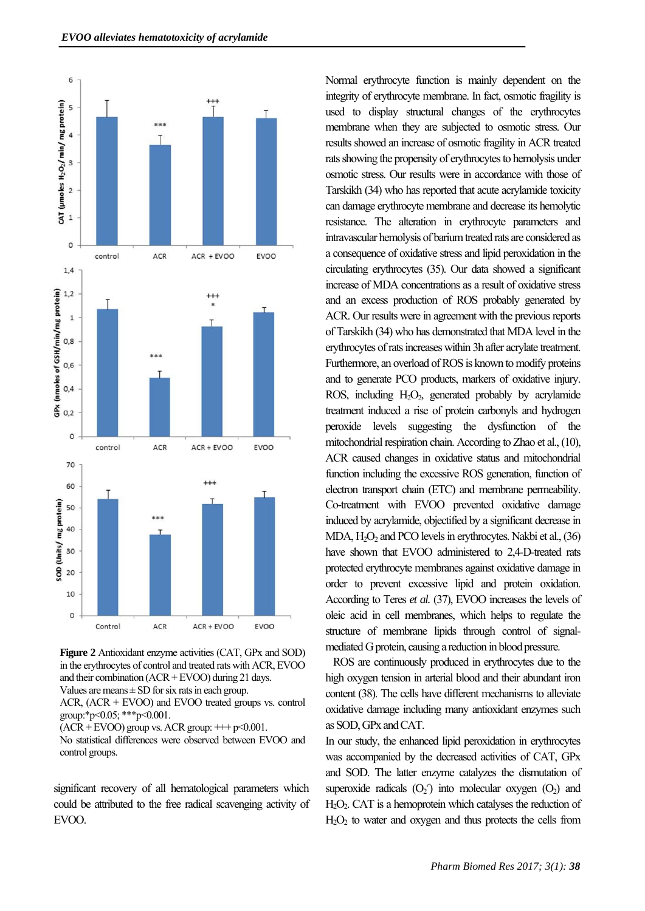



ACR, (ACR + EVOO) and EVOO treated groups vs. control group:\*p<0.05; \*\*\*p<0.001.

 $(ACR + EVOO)$  group vs.  $ACR$  group:  $++p<0.001$ . No statistical differences were observed between EVOO and control groups.

significant recovery of all hematological parameters which could be attributed to the free radical scavenging activity of EVOO.

Normal erythrocyte function is mainly dependent on the integrity of erythrocyte membrane. In fact, osmotic fragility is used to display structural changes of the erythrocytes membrane when they are subjected to osmotic stress. Our results showed an increase of osmotic fragility in ACR treated rats showing the propensity of erythrocytes to hemolysis under osmotic stress. Our results were in accordance with those of Tarskikh (34) who has reported that acute acrylamide toxicity can damage erythrocyte membrane and decrease its hemolytic resistance. The alteration in erythrocyte parameters and intravascular hemolysis of barium treated rats are considered as a consequence of oxidative stress and lipid peroxidation in the circulating erythrocytes (35). Our data showed a significant increase of MDA concentrations as a result of oxidative stress and an excess production of ROS probably generated by ACR. Our results were in agreement with the previous reports of Tarskikh (34) who has demonstrated that MDA level in the erythrocytes of rats increases within 3h after acrylate treatment. Furthermore, an overload of ROS is known to modify proteins and to generate PCO products, markers of oxidative injury. ROS, including  $H_2O_2$ , generated probably by acrylamide treatment induced a rise of protein carbonyls and hydrogen peroxide levels suggesting the dysfunction of the mitochondrial respiration chain. According to Zhao et al., (10), ACR caused changes in oxidative status and mitochondrial function including the excessive ROS generation, function of electron transport chain (ETC) and membrane permeability. Co-treatment with EVOO prevented oxidative damage induced by acrylamide, objectified by a significant decrease in MDA, H<sub>2</sub>O<sub>2</sub> and PCO levels in erythrocytes. Nakbi et al., (36) have shown that EVOO administered to 2.4-D-treated rats protected erythrocyte membranes against oxidative damage in order to prevent excessive lipid and protein oxidation. According to Teres *et al.* (37), EVOO increases the levels of oleic acid in cell membranes, which helps to regulate the structure of membrane lipids through control of signalmediated G protein, causing a reduction in blood pressure.

 ROS are continuously produced in erythrocytes due to the high oxygen tension in arterial blood and their abundant iron content (38). The cells have different mechanisms to alleviate oxidative damage including many antioxidant enzymes such as SOD, GPx and CAT.

In our study, the enhanced lipid peroxidation in erythrocytes was accompanied by the decreased activities of CAT, GPx and SOD. The latter enzyme catalyzes the dismutation of superoxide radicals (O<sub>2</sub><sup>\*</sup>) into molecular oxygen (O<sub>2</sub>) and H<sub>2</sub>O<sub>2</sub>. CAT is a hemoprotein which catalyses the reduction of  $H<sub>2</sub>O<sub>2</sub>$  to water and oxygen and thus protects the cells from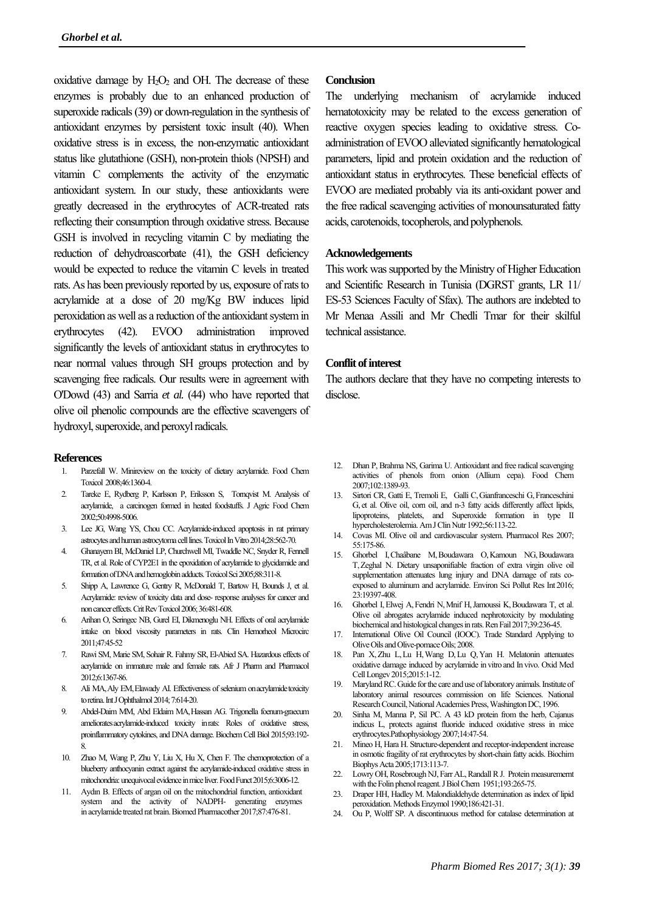oxidative damage by  $H_2O_2$  and OH. The decrease of these enzymes is probably due to an enhanced production of superoxide radicals (39) or down-regulation in the synthesis of antioxidant enzymes by persistent toxic insult (40). When oxidative stress is in excess, the non-enzymatic antioxidant status like glutathione (GSH), non-protein thiols (NPSH) and vitamin C complements the activity of the enzymatic antioxidant system. In our study, these antioxidants were greatly decreased in the erythrocytes of ACR-treated rats reflecting their consumption through oxidative stress. Because GSH is involved in recycling vitamin C by mediating the reduction of dehydroascorbate (41), the GSH deficiency would be expected to reduce the vitamin C levels in treated rats. As has been previously reported by us, exposure of rats to acrylamide at a dose of 20 mg/Kg BW induces lipid peroxidation as well as a reduction of the antioxidant system in erythrocytes (42). EVOO administration improved significantly the levels of antioxidant status in erythrocytes to near normal values through SH groups protection and by scavenging free radicals. Our results were in agreement with O'Dowd (43) and Sarria *et al.* (44) who have reported that olive oil phenolic compounds are the effective scavengers of hydroxyl, superoxide, and peroxyl radicals.

#### **References**

- 1. Parzefall W. Minireview on the toxicity of dietary acrylamide. Food Chem Toxicol 2008;46:1360-4.
- 2. Tareke E, Rydberg P, Karlsson P, Eriksson S, Tornqvist M. Analysis of acrylamide, a carcinogen formed in heated foodstuffs. J Agric Food Chem 2002;50:4998-5006.
- 3. Lee JG, Wang YS, Chou CC. Acrylamide-induced apoptosis in rat primary astrocytes and human astrocytoma cell lines. Toxicol In Vitro 2014;28:562-70.
- 4. Ghanayem BI, McDaniel LP, Churchwell MI, Twaddle NC, Snyder R, Fennell TR, et al. Role of CYP2E1 in the epoxidation of acrylamide to glycidamide and formation of DNA and hemoglobin adducts. Toxicol Sci 2005;88:311-8.
- 5. Shipp A, Lawrence G, Gentry R, McDonald T, Bartow H, Bounds J, et al. Acrylamide: review of toxicity data and dose- response analyses for cancer and non cancer effects. Crit Rev Toxicol 2006; 36:481-608.
- 6. Arihan O, Seringec NB, Gurel EI, Dikmenoglu NH. Effects of oral acrylamide intake on blood viscosity parameters in rats. Clin Hemorheol Microcirc 2011;47:45-52
- 7. Rawi SM, Marie SM, Sohair R. Fahmy SR, El-Abied SA. Hazardous effects of acrylamide on immature male and female rats. Afr J Pharm and Pharmacol 2012;6:1367-86.
- 8. Ali MA, Aly EM, Elawady AI. Effectiveness of selenium on acrylamide toxicity to retina. Int J Ophthalmol 2014; 7:614-20.
- 9. Abdel-Daim MM, Abd Eldaim MA, Hassan AG. Trigonella foenum-graecum ameliorates acrylamide-induced toxicity in rats: Roles of oxidative stress, proinflammatory cytokines, and DNA damage. Biochem Cell Biol 2015;93:192- 8.
- 10. Zhao M, Wang P, Zhu Y, Liu X, Hu X, Chen F. The chemoprotection of a blueberry anthocyanin extract against the acrylamide-induced oxidative stress in mitochondria: unequivocal evidence in mice liver. Food Funct 2015;6:3006-12.
- 11. Aydın B. Effects of argan oil on the mitochondrial function, antioxidant system and the activity of NADPH- generating enzymes in acrylamide treated rat brain. Biomed Pharmacother 2017;87:476-81.

#### **Conclusion**

The underlying mechanism of acrylamide induced hematotoxicity may be related to the excess generation of reactive oxygen species leading to oxidative stress. Coadministration of EVOO alleviated significantly hematological parameters, lipid and protein oxidation and the reduction of antioxidant status in erythrocytes. These beneficial effects of EVOO are mediated probably via its anti-oxidant power and the free radical scavenging activities of monounsaturated fatty acids, carotenoids, tocopherols, and polyphenols.

#### **Acknowledgements**

This work was supported by the Ministry of Higher Education and Scientific Research in Tunisia (DGRST grants, LR 11/ ES-53 Sciences Faculty of Sfax). The authors are indebted to Mr Menaa Assili and Mr Chedli Tmar for their skilful technical assistance.

#### **Conflit of interest**

The authors declare that they have no competing interests to disclose.

- 12. Dhan P, Brahma NS, Garima U. Antioxidant and free radical scavenging activities of phenols from onion (Allium cepa). Food Chem 2007;102:1389-93.
- 13. Sirtori CR, Gatti E, Tremoli E, Galli C, Gianfranceschi G, Franceschini G, et al. Olive oil, corn oil, and n-3 fatty acids differently affect lipids, lipoproteins, platelets, and Superoxide formation in type II hypercholesterolemia. Am J Clin Nutr 1992;56:113-22.
- 14. Covas MI. Olive oil and cardiovascular system. Pharmacol Res 2007; 55:175-86.
- 15. Ghorbel I, Chaâbane M, Boudawara O, Kamoun NG, Boudawara T, Zeghal N. Dietary unsaponifiable fraction of extra virgin olive oil supplementation attenuates lung injury and DNA damage of rats coexposed to aluminum and acrylamide. Environ Sci Pollut Res Int 2016; 23:19397-408.
- 16. Ghorbel I, Elwej A, Fendri N, Mnif H, Jamoussi K, Boudawara T, et al. Olive oil abrogates acrylamide induced nephrotoxicity by modulating biochemical and histological changes in rats. Ren Fail 2017;39:236-45.
- 17. International Olive Oil Council (IOOC). Trade Standard Applying to Olive Oils and Olive-pomace Oils; 2008.
- 18. Pan X, Zhu L, Lu H, Wang D, Lu Q, Yan H. Melatonin attenuates oxidative damage induced by acrylamide in vitro and In vivo. Oxid Med Cell Longev 2015;2015:1-12.
- 19. Maryland RC. Guide for the care and use of laboratory animals. Institute of laboratory animal resources commission on life Sciences. National Research Council, National Academies Press, Washington DC, 1996.
- 20. Sinha M, Manna P, Sil PC. A 43 kD protein from the herb, Cajanus indicus L, protects against fluoride induced oxidative stress in mice erythrocytes.Pathophysiology 2007;14:47-54.
- 21. Mineo H, Hara H. Structure-dependent and receptor-independent increase in osmotic fragility of rat erythrocytes by short-chain fatty acids. Biochim Biophys Acta 2005;1713:113-7.
- 22. Lowry OH, Rosebrough NJ, Farr AL, Randall R J. Protein measuremernt with the Folin phenol reagent. J Biol Chem 1951;193:265-75.
- 23. Draper HH, Hadley M. Malondialdehyde determination as index of lipid peroxidation. Methods Enzymol 1990;186:421-31.
- 24. Ou P, Wolff SP. A discontinuous method for catalase determination at